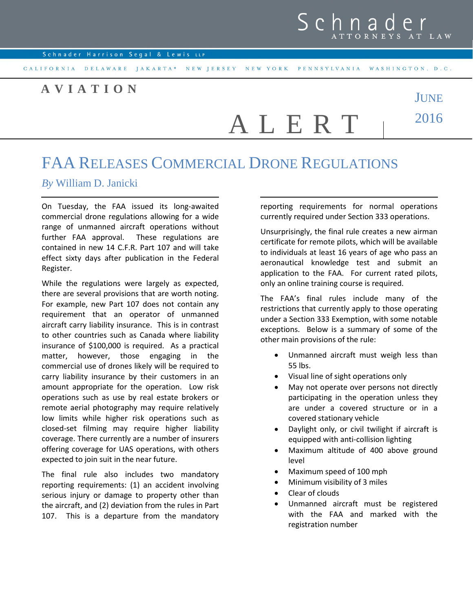## Schnad **TTORNEYS**

## **A V I A T I O N**



## FAA RELEASES COMMERCIAL DRONE REGULATIONS

## *By* William D. Janicki

On Tuesday, the FAA issued its long-awaited commercial drone regulations allowing for a wide range of unmanned aircraft operations without further FAA approval. These regulations are contained in new 14 C.F.R. Part 107 and will take effect sixty days after publication in the Federal Register.

While the regulations were largely as expected, there are several provisions that are worth noting. For example, new Part 107 does not contain any requirement that an operator of unmanned aircraft carry liability insurance. This is in contrast to other countries such as Canada where liability insurance of \$100,000 is required. As a practical matter, however, those engaging in the commercial use of drones likely will be required to carry liability insurance by their customers in an amount appropriate for the operation. Low risk operations such as use by real estate brokers or remote aerial photography may require relatively low limits while higher risk operations such as closed-set filming may require higher liability coverage. There currently are a number of insurers offering coverage for UAS operations, with others expected to join suit in the near future.

The final rule also includes two mandatory reporting requirements: (1) an accident involving serious injury or damage to property other than the aircraft, and (2) deviation from the rules in Part 107. This is a departure from the mandatory reporting requirements for normal operations currently required under Section 333 operations.

Unsurprisingly, the final rule creates a new airman certificate for remote pilots, which will be available to individuals at least 16 years of age who pass an aeronautical knowledge test and submit an application to the FAA. For current rated pilots, only an online training course is required.

The FAA's final rules include many of the restrictions that currently apply to those operating under a Section 333 Exemption, with some notable exceptions. Below is a summary of some of the other main provisions of the rule:

- Unmanned aircraft must weigh less than 55 lbs.
- Visual line of sight operations only
- May not operate over persons not directly participating in the operation unless they are under a covered structure or in a covered stationary vehicle
- Daylight only, or civil twilight if aircraft is equipped with anti-collision lighting
- Maximum altitude of 400 above ground level
- Maximum speed of 100 mph
- Minimum visibility of 3 miles
- Clear of clouds
- Unmanned aircraft must be registered with the FAA and marked with the registration number